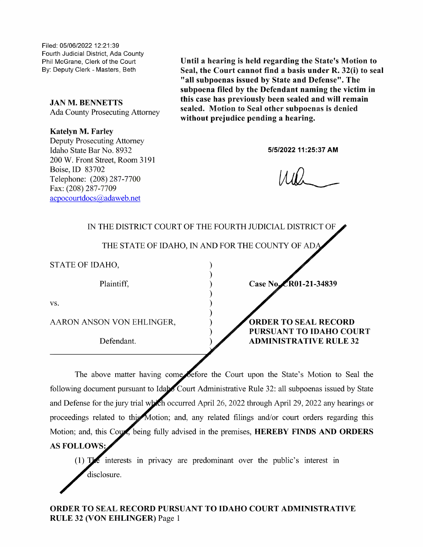Filed: 05/06/2022 12:21 :39 Fourth Judicial District, Ada County Phil McGrane, Cierk of the Court

**JAN M. BENNETTS** 

Katelyn M. Farley

Deputy Prosecuting Attorney Idaho State Bar No. 8932 5/5/2022 11:25:37 AM 200 W. Front Street, Room 3191 Boise, 1D 83702 Telephone: (208) 287-7700 Fax: (208) 287—7709 acpocourtdocs@adaweb.net

Phil McGrane, Clerk of the Court **Until a hearing is held regarding the State's Motion to**<br>By: Deputy Clerk - Masters, Beth **Seal, the Court cannot find a basis under R. 32(i) to seal** "all subpoenas issued by State and Defense". The subpoena filed by the Defendant naming the victim in this case has previously been sealed and will remain JAN M. BENNETTS<br>Ada County Prosecuting Attorney sealed. Motion to Seal other subpoenas is denied<br>without prejudice pending a hearing.

|                           | IN THE DISTRICT COURT OF THE FOURTH JUDICIAL DISTRICT OF |
|---------------------------|----------------------------------------------------------|
|                           | THE STATE OF IDAHO, IN AND FOR THE COUNTY OF ADA         |
| STATE OF IDAHO,           |                                                          |
| Plaintiff,                | Case No. CR01-21-34839                                   |
| VS.                       |                                                          |
| AARON ANSON VON EHLINGER, | <b>ORDER TO SEAL RECORD</b>                              |
| Defendant.                | PURSUANT TO IDAHO COURT<br><b>ADMINISTRATIVE RULE 32</b> |
|                           |                                                          |

The above matter having come before the Court upon the State's Motion to Seal the following document pursuant to Idabo Court Administrative Rule 32: all subpoenas issued by State and Defense for the jury trial which occurred April 26, 2022 through April 29, 2022 any hearings or proceedings related to this Motion; and, any related filings and/or court orders regarding this Motion; and, this Coupe, being fully advised in the premises, HEREBY FINDS AND ORDERS AS FOLLOWS:

(1) interests in privacy are predominant over the public's interest in disclosure.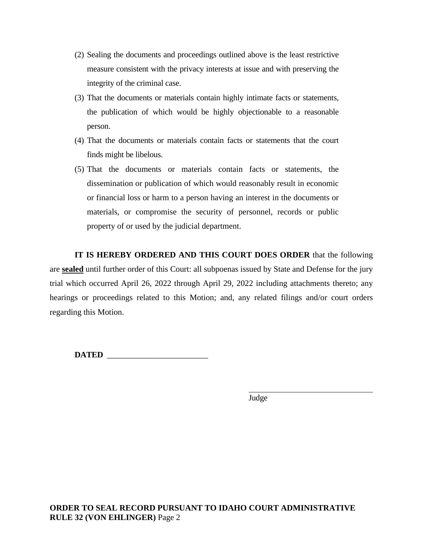- (2) Sealing the documents and proceedings outlined above is the least restrictive measure consistent with the privacy interests at issue and with preserving the integrity of the criminal case.
- (3) That the documents or materials contain highly intimate facts or statements, the publication of which would be highly objectionable to a reasonable person.
- (4) That the documents or materials contain facts or statements that the court finds might be libelous.
- (5) That the documents or materials contain facts or statements, the dissemination or publication of which would reasonably result in economic or financial loss or harm to a person having an interest in the documents or materials, or compromise the security of personnel, records or public property of or used by the judicial department.

**IT IS HEREBY ORDERED AND THIS COURT DOES ORDER** that the following are **sealed** until further order of this Court: all subpoenas issued by State and Defense for the jury trial which occurred April 26, 2022 through April 29, 2022 including attachments thereto; any hearings or proceedings related to this Motion; and, any related filings and/or court orders regarding this Motion.

**DATED** \_\_\_\_\_\_\_\_\_\_\_\_\_\_\_\_\_\_\_\_\_\_\_\_\_

Judge